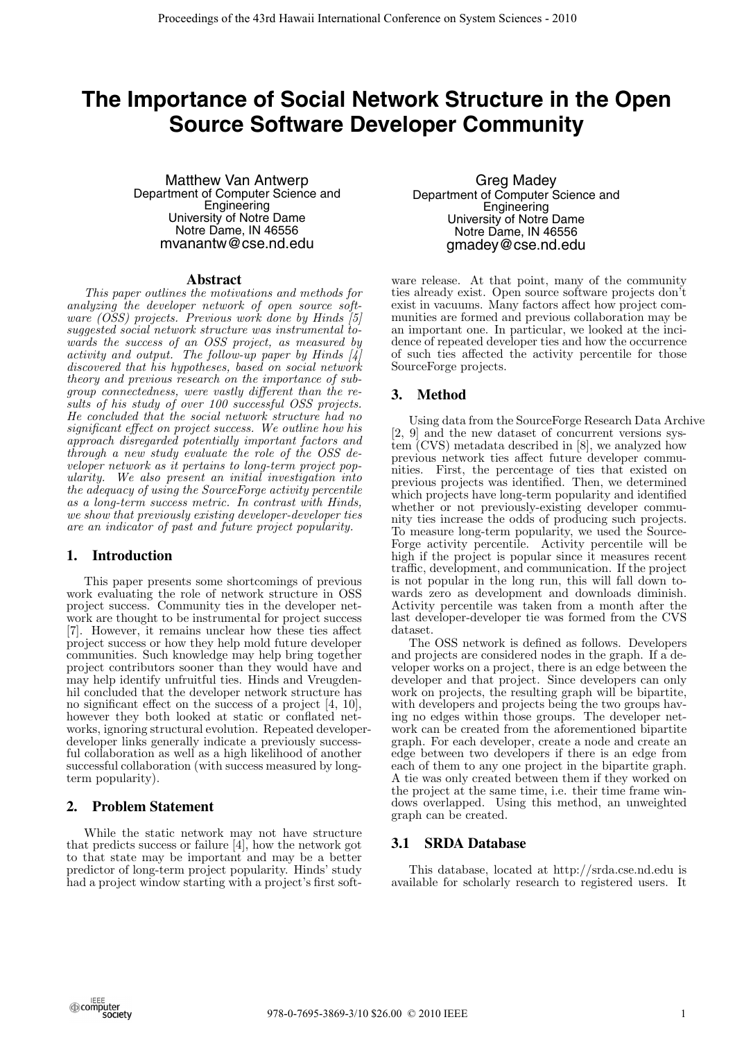# **The Importance of Social Network Structure in the Open Source Software Developer Community**

Matthew Van Antwerp Department of Computer Science and Engineering University of Notre Dame Notre Dame, IN 46556 mvanantw@cse.nd.edu

#### **Abstract**

*This paper outlines the motivations and methods for analyzing the developer network of open source software (OSS) projects. Previous work done by Hinds [5] suggested social network structure was instrumental towards the success of an OSS project, as measured by activity and output. The follow-up paper by Hinds [4] discovered that his hypotheses, based on social network theory and previous research on the importance of subgroup connectedness, were vastly different than the results of his study of over 100 successful OSS projects. He concluded that the social network structure had no significant effect on project success. We outline how his approach disregarded potentially important factors and through a new study evaluate the role of the OSS developer network as it pertains to long-term project popularity. We also present an initial investigation into the adequacy of using the SourceForge activity percentile as a long-term success metric. In contrast with Hinds, we show that previously existing developer-developer ties are an indicator of past and future project popularity.*

# **1. Introduction**

This paper presents some shortcomings of previous work evaluating the role of network structure in OSS project success. Community ties in the developer network are thought to be instrumental for project success [7]. However, it remains unclear how these ties affect project success or how they help mold future developer communities. Such knowledge may help bring together project contributors sooner than they would have and may help identify unfruitful ties. Hinds and Vreugdenhil concluded that the developer network structure has no significant effect on the success of a project [4, 10], however they both looked at static or conflated networks, ignoring structural evolution. Repeated developerdeveloper links generally indicate a previously successful collaboration as well as a high likelihood of another successful collaboration (with success measured by longterm popularity).

# **2. Problem Statement**

While the static network may not have structure that predicts success or failure [4], how the network got to that state may be important and may be a better predictor of long-term project popularity. Hinds' study had a project window starting with a project's first soft-

Greg Madey Department of Computer Science and Engineering University of Notre Dame Notre Dame, IN 46556 gmadey@cse.nd.edu

ware release. At that point, many of the community ties already exist. Open source software projects don't exist in vacuums. Many factors affect how project communities are formed and previous collaboration may be an important one. In particular, we looked at the incidence of repeated developer ties and how the occurrence of such ties affected the activity percentile for those SourceForge projects.

# **3. Method**

Using data from the SourceForge Research Data Archive [2, 9] and the new dataset of concurrent versions system (CVS) metadata described in [8], we analyzed how previous network ties affect future developer communities. First, the percentage of ties that existed on previous projects was identified. Then, we determined which projects have long-term popularity and identified whether or not previously-existing developer community ties increase the odds of producing such projects. To measure long-term popularity, we used the Source-Forge activity percentile. Activity percentile will be high if the project is popular since it measures recent traffic, development, and communication. If the project is not popular in the long run, this will fall down towards zero as development and downloads diminish. Activity percentile was taken from a month after the last developer-developer tie was formed from the CVS dataset.

The OSS network is defined as follows. Developers and projects are considered nodes in the graph. If a developer works on a project, there is an edge between the developer and that project. Since developers can only work on projects, the resulting graph will be bipartite, with developers and projects being the two groups having no edges within those groups. The developer network can be created from the aforementioned bipartite graph. For each developer, create a node and create an edge between two developers if there is an edge from each of them to any one project in the bipartite graph. A tie was only created between them if they worked on the project at the same time, i.e. their time frame windows overlapped. Using this method, an unweighted graph can be created.

# **3.1 SRDA Database**

This database, located at http://srda.cse.nd.edu is available for scholarly research to registered users. It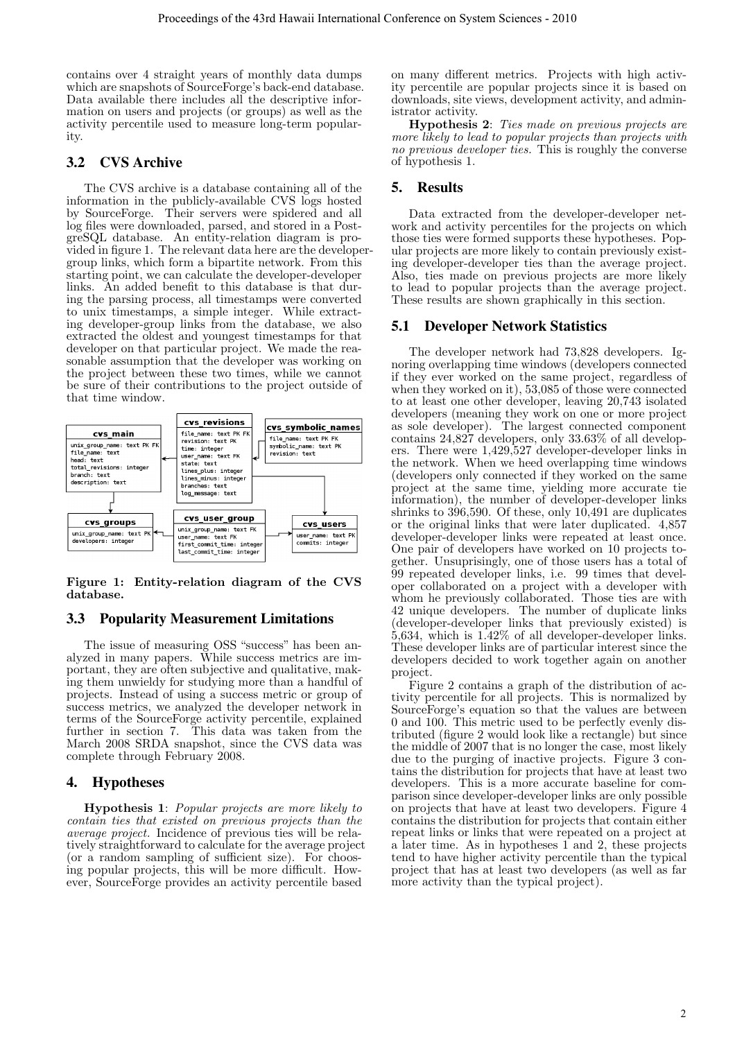contains over 4 straight years of monthly data dumps which are snapshots of SourceForge's back-end database. Data available there includes all the descriptive information on users and projects (or groups) as well as the activity percentile used to measure long-term popularity.

# **3.2 CVS Archive**

The CVS archive is a database containing all of the information in the publicly-available CVS logs hosted by SourceForge. Their servers were spidered and all log files were downloaded, parsed, and stored in a PostgreSQL database. An entity-relation diagram is provided in figure 1. The relevant data here are the developergroup links, which form a bipartite network. From this starting point, we can calculate the developer-developer links. An added benefit to this database is that during the parsing process, all timestamps were converted to unix timestamps, a simple integer. While extracting developer-group links from the database, we also extracted the oldest and youngest timestamps for that developer on that particular project. We made the reasonable assumption that the developer was working on the project between these two times, while we cannot be sure of their contributions to the project outside of that time window.



**Figure 1: Entity-relation diagram of the CVS database.**

# **3.3 Popularity Measurement Limitations**

The issue of measuring OSS "success" has been analyzed in many papers. While success metrics are important, they are often subjective and qualitative, making them unwieldy for studying more than a handful of projects. Instead of using a success metric or group of success metrics, we analyzed the developer network in terms of the SourceForge activity percentile, explained further in section 7. This data was taken from the March 2008 SRDA snapshot, since the CVS data was complete through February 2008.

# **4. Hypotheses**

**Hypothesis 1**: *Popular projects are more likely to contain ties that existed on previous projects than the average project.* Incidence of previous ties will be relatively straightforward to calculate for the average project (or a random sampling of sufficient size). For choosing popular projects, this will be more difficult. However, SourceForge provides an activity percentile based

on many different metrics. Projects with high activity percentile are popular projects since it is based on downloads, site views, development activity, and administrator activity.

**Hypothesis 2**: *Ties made on previous projects are more likely to lead to popular projects than projects with no previous developer ties.* This is roughly the converse of hypothesis 1.

# **5. Results**

Data extracted from the developer-developer network and activity percentiles for the projects on which those ties were formed supports these hypotheses. Popular projects are more likely to contain previously existing developer-developer ties than the average project. Also, ties made on previous projects are more likely to lead to popular projects than the average project. These results are shown graphically in this section.

# **5.1 Developer Network Statistics**

The developer network had 73,828 developers. Ignoring overlapping time windows (developers connected if they ever worked on the same project, regardless of when they worked on it), 53,085 of those were connected to at least one other developer, leaving 20,743 isolated developers (meaning they work on one or more project as sole developer). The largest connected component contains 24,827 developers, only 33.63% of all developers. There were 1,429,527 developer-developer links in the network. When we heed overlapping time windows (developers only connected if they worked on the same project at the same time, yielding more accurate tie information), the number of developer-developer links shrinks to 396,590. Of these, only 10,491 are duplicates or the original links that were later duplicated. 4,857 developer-developer links were repeated at least once. One pair of developers have worked on 10 projects together. Unsuprisingly, one of those users has a total of 99 repeated developer links, i.e. 99 times that developer collaborated on a project with a developer with whom he previously collaborated. Those ties are with 42 unique developers. The number of duplicate links (developer-developer links that previously existed) is 5,634, which is 1.42% of all developer-developer links. These developer links are of particular interest since the developers decided to work together again on another project.

Figure 2 contains a graph of the distribution of activity percentile for all projects. This is normalized by SourceForge's equation so that the values are between 0 and 100. This metric used to be perfectly evenly distributed (figure 2 would look like a rectangle) but since the middle of 2007 that is no longer the case, most likely due to the purging of inactive projects. Figure 3 contains the distribution for projects that have at least two developers. This is a more accurate baseline for comparison since developer-developer links are only possible on projects that have at least two developers. Figure 4 contains the distribution for projects that contain either repeat links or links that were repeated on a project at a later time. As in hypotheses 1 and 2, these projects tend to have higher activity percentile than the typical project that has at least two developers (as well as far more activity than the typical project).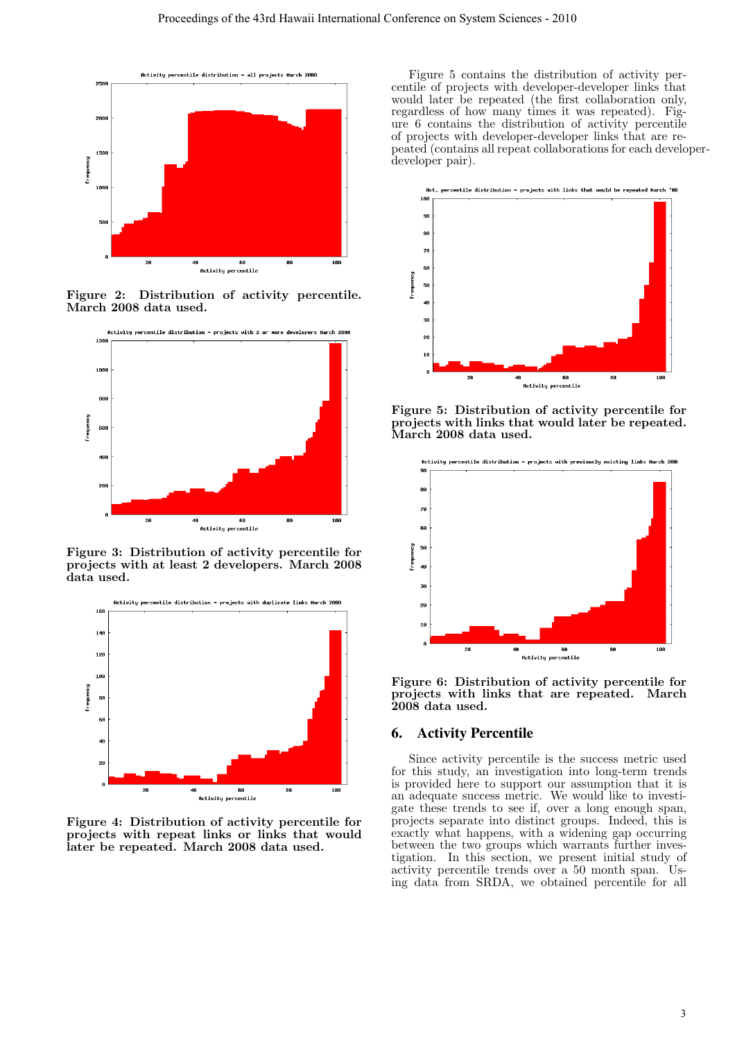

**Figure 2: Distribution of activity percentile. March 2008 data used.**



**Figure 3: Distribution of activity percentile for projects with at least 2 developers. March 2008 data used.**



**Figure 4: Distribution of activity percentile for projects with repeat links or links that would later be repeated. March 2008 data used.**

Figure 5 contains the distribution of activity percentile of projects with developer-developer links that would later be repeated (the first collaboration only, regardless of how many times it was repeated). Figure 6 contains the distribution of activity percentile of projects with developer-developer links that are repeated (contains all repeat collaborations for each developerdeveloper pair).



**Figure 5: Distribution of activity percentile for projects with links that would later be repeated. March 2008 data used.**



**Figure 6: Distribution of activity percentile for projects with links that are repeated. March 2008 data used.**

### **6. Activity Percentile**

Since activity percentile is the success metric used for this study, an investigation into long-term trends is provided here to support our assumption that it is an adequate success metric. We would like to investigate these trends to see if, over a long enough span, projects separate into distinct groups. Indeed, this is exactly what happens, with a widening gap occurring between the two groups which warrants further investigation. In this section, we present initial study of activity percentile trends over a 50 month span. Using data from SRDA, we obtained percentile for all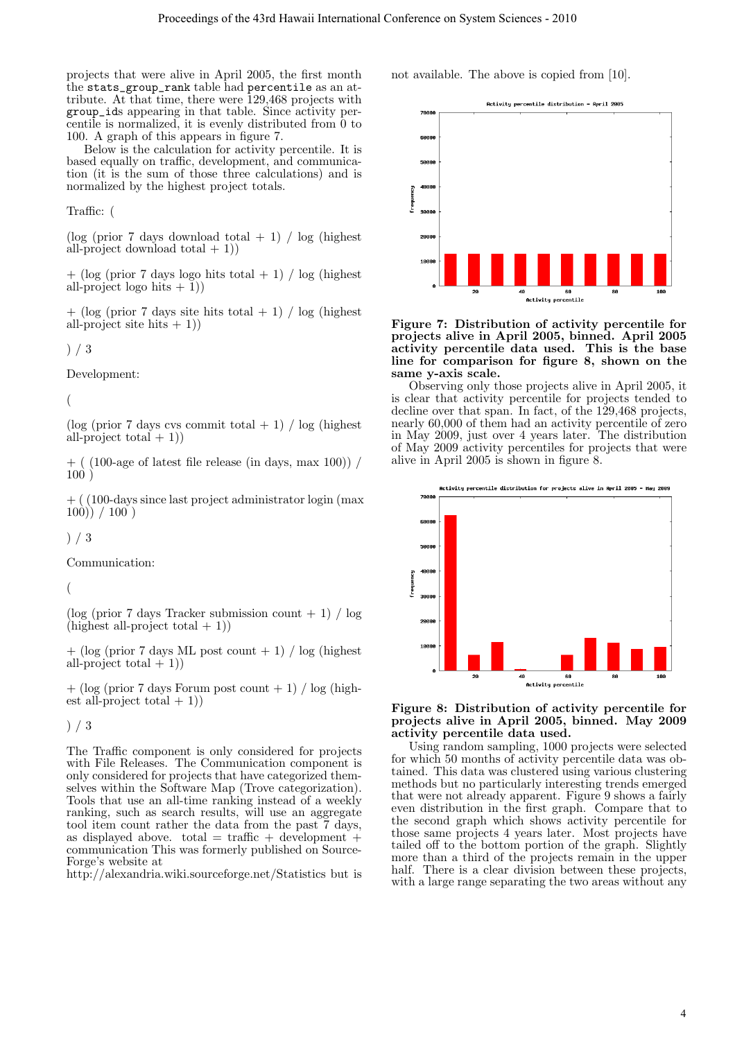projects that were alive in April 2005, the first month the stats\_group\_rank table had percentile as an attribute. At that time, there were 129,468 projects with group\_ids appearing in that table. Since activity percentile is normalized, it is evenly distributed from 0 to 100. A graph of this appears in figure 7.

Below is the calculation for activity percentile. It is based equally on traffic, development, and communication (it is the sum of those three calculations) and is normalized by the highest project totals.

Traffic: (

(log (prior 7 days download total  $+1$ ) / log (highest) all-project download total  $+ 1$ )

 $+$  (log (prior 7 days logo hits total  $+1$ ) / log (highest) all-project logo hits  $+ 1$ )

 $+$  (log (prior 7 days site hits total  $+$  1) / log (highest all-project site hits  $+ 1$ )

)/3

Development:

(

(log (prior 7 days cvs commit total  $+1$ ) / log (highest) all-project total  $+1$ )

 $+$  ( (100-age of latest file release (in days, max 100)) /  $100)$ 

+ ( (100-days since last project administrator login (max  $(100)$ )  $(100)$ 

)/3

Communication:

(

(log (prior 7 days Tracker submission count  $+1$ ) / log  $(highest all-project total + 1))$ 

 $+$  (log (prior 7 days ML post count  $+1$ ) / log (highest) all-project total  $+ 1$ )

 $+$  (log (prior 7 days Forum post count  $+$  1) / log (highest all-project total  $+ 1$ )

### )/3

The Traffic component is only considered for projects with File Releases. The Communication component is only considered for projects that have categorized themselves within the Software Map (Trove categorization). Tools that use an all-time ranking instead of a weekly ranking, such as search results, will use an aggregate tool item count rather the data from the past 7 days, as displayed above. total  $=$  traffic  $+$  development  $+$ communication This was formerly published on Source-Forge's website at

http://alexandria.wiki.sourceforge.net/Statistics but is

not available. The above is copied from [10].



**Figure 7: Distribution of activity percentile for projects alive in April 2005, binned. April 2005 activity percentile data used. This is the base line for comparison for figure 8, shown on the same y-axis scale.**

Observing only those projects alive in April 2005, it is clear that activity percentile for projects tended to decline over that span. In fact, of the 129,468 projects, nearly 60,000 of them had an activity percentile of zero in May 2009, just over 4 years later. The distribution of May 2009 activity percentiles for projects that were alive in April 2005 is shown in figure 8.



**Figure 8: Distribution of activity percentile for projects alive in April 2005, binned. May 2009 activity percentile data used.**

Using random sampling, 1000 projects were selected for which 50 months of activity percentile data was obtained. This data was clustered using various clustering methods but no particularly interesting trends emerged that were not already apparent. Figure 9 shows a fairly even distribution in the first graph. Compare that to the second graph which shows activity percentile for those same projects 4 years later. Most projects have tailed off to the bottom portion of the graph. Slightly more than a third of the projects remain in the upper half. There is a clear division between these projects, with a large range separating the two areas without any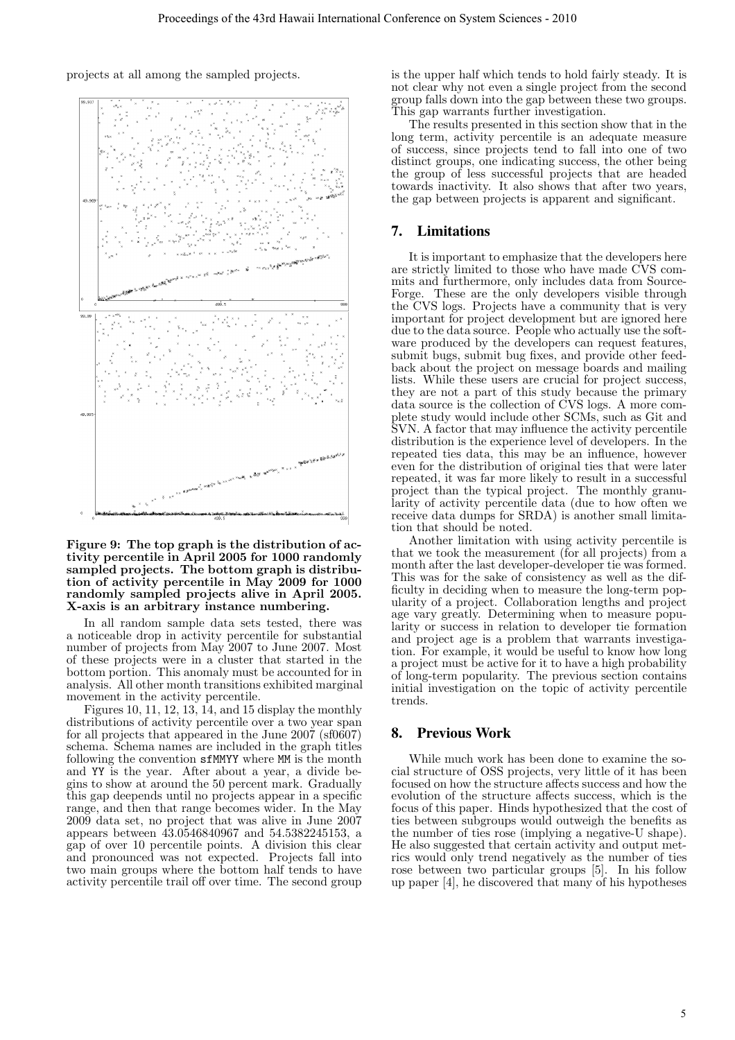projects at all among the sampled projects.



**Figure 9: The top graph is the distribution of activity percentile in April 2005 for 1000 randomly sampled projects. The bottom graph is distribution of activity percentile in May 2009 for 1000 randomly sampled projects alive in April 2005. X-axis is an arbitrary instance numbering.**

In all random sample data sets tested, there was a noticeable drop in activity percentile for substantial number of projects from May 2007 to June 2007. Most of these projects were in a cluster that started in the bottom portion. This anomaly must be accounted for in analysis. All other month transitions exhibited marginal movement in the activity percentile.

Figures 10, 11, 12, 13, 14, and 15 display the monthly distributions of activity percentile over a two year span for all projects that appeared in the June  $2007$  (sf $0607$ ) schema. Schema names are included in the graph titles following the convention sfMMYY where MM is the month and YY is the year. After about a year, a divide begins to show at around the 50 percent mark. Gradually this gap deepends until no projects appear in a specific range, and then that range becomes wider. In the May 2009 data set, no project that was alive in June 2007 appears between 43.0546840967 and 54.5382245153, a gap of over 10 percentile points. A division this clear and pronounced was not expected. Projects fall into two main groups where the bottom half tends to have activity percentile trail off over time. The second group

is the upper half which tends to hold fairly steady. It is not clear why not even a single project from the second group falls down into the gap between these two groups. This gap warrants further investigation.

The results presented in this section show that in the long term, activity percentile is an adequate measure of success, since projects tend to fall into one of two distinct groups, one indicating success, the other being the group of less successful projects that are headed towards inactivity. It also shows that after two years, the gap between projects is apparent and significant.

### **7. Limitations**

It is important to emphasize that the developers here are strictly limited to those who have made CVS commits and furthermore, only includes data from Source-Forge. These are the only developers visible through the CVS logs. Projects have a community that is very important for project development but are ignored here due to the data source. People who actually use the software produced by the developers can request features, submit bugs, submit bug fixes, and provide other feedback about the project on message boards and mailing lists. While these users are crucial for project success, they are not a part of this study because the primary data source is the collection of CVS logs. A more complete study would include other SCMs, such as Git and SVN. A factor that may influence the activity percentile distribution is the experience level of developers. In the repeated ties data, this may be an influence, however even for the distribution of original ties that were later repeated, it was far more likely to result in a successful project than the typical project. The monthly granularity of activity percentile data (due to how often we receive data dumps for SRDA) is another small limitation that should be noted.

Another limitation with using activity percentile is that we took the measurement (for all projects) from a month after the last developer-developer tie was formed. This was for the sake of consistency as well as the difficulty in deciding when to measure the long-term popularity of a project. Collaboration lengths and project age vary greatly. Determining when to measure popularity or success in relation to developer tie formation and project age is a problem that warrants investigation. For example, it would be useful to know how long a project must be active for it to have a high probability of long-term popularity. The previous section contains initial investigation on the topic of activity percentile trends.

#### **8. Previous Work**

While much work has been done to examine the social structure of OSS projects, very little of it has been focused on how the structure affects success and how the evolution of the structure affects success, which is the focus of this paper. Hinds hypothesized that the cost of ties between subgroups would outweigh the benefits as the number of ties rose (implying a negative-U shape). He also suggested that certain activity and output metrics would only trend negatively as the number of ties rose between two particular groups [5]. In his follow up paper [4], he discovered that many of his hypotheses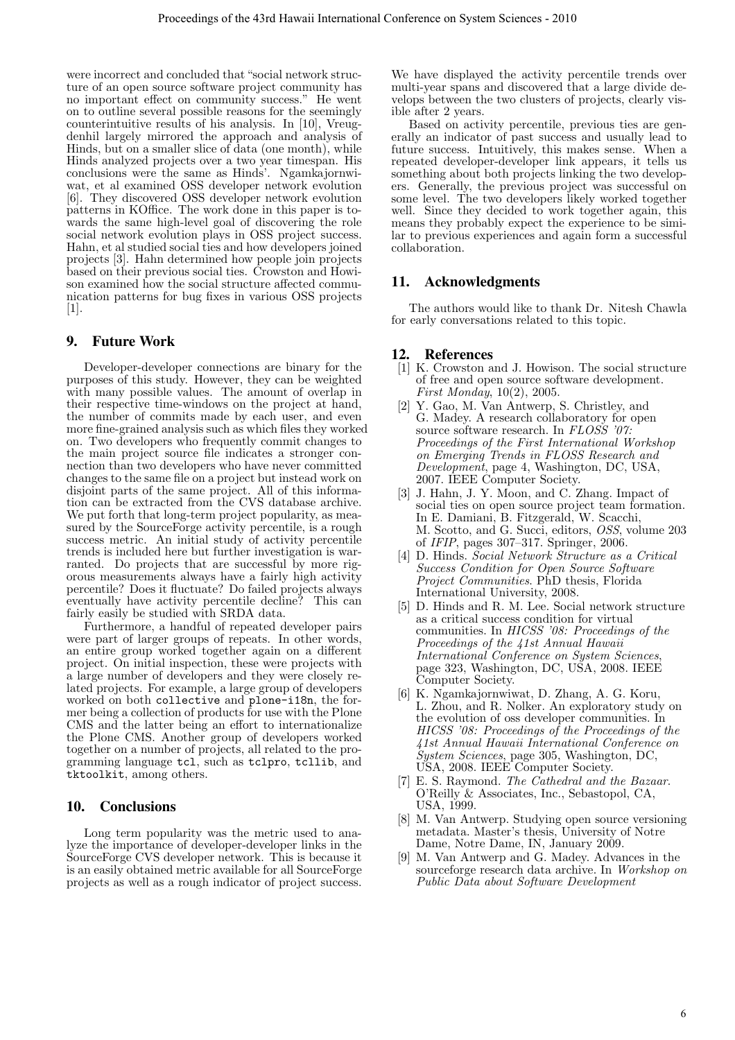were incorrect and concluded that "social network structure of an open source software project community has no important effect on community success." He went on to outline several possible reasons for the seemingly counterintuitive results of his analysis. In [10], Vreugdenhil largely mirrored the approach and analysis of Hinds, but on a smaller slice of data (one month), while Hinds analyzed projects over a two year timespan. His conclusions were the same as Hinds'. Ngamkajornwiwat, et al examined OSS developer network evolution [6]. They discovered OSS developer network evolution patterns in KOffice. The work done in this paper is towards the same high-level goal of discovering the role social network evolution plays in OSS project success. Hahn, et al studied social ties and how developers joined projects [3]. Hahn determined how people join projects based on their previous social ties. Crowston and Howison examined how the social structure affected communication patterns for bug fixes in various OSS projects [1].

# **9. Future Work**

Developer-developer connections are binary for the purposes of this study. However, they can be weighted with many possible values. The amount of overlap in their respective time-windows on the project at hand, the number of commits made by each user, and even more fine-grained analysis such as which files they worked on. Two developers who frequently commit changes to the main project source file indicates a stronger connection than two developers who have never committed changes to the same file on a project but instead work on disjoint parts of the same project. All of this information can be extracted from the CVS database archive. We put forth that long-term project popularity, as measured by the SourceForge activity percentile, is a rough success metric. An initial study of activity percentile trends is included here but further investigation is warranted. Do projects that are successful by more rigorous measurements always have a fairly high activity percentile? Does it fluctuate? Do failed projects always eventually have activity percentile decline? This can fairly easily be studied with SRDA data.

Furthermore, a handful of repeated developer pairs were part of larger groups of repeats. In other words, an entire group worked together again on a different project. On initial inspection, these were projects with a large number of developers and they were closely related projects. For example, a large group of developers worked on both collective and plone-i18n, the former being a collection of products for use with the Plone CMS and the latter being an effort to internationalize the Plone CMS. Another group of developers worked together on a number of projects, all related to the programming language tcl, such as tclpro, tcllib, and tktoolkit, among others.

# **10. Conclusions**

Long term popularity was the metric used to analyze the importance of developer-developer links in the SourceForge CVS developer network. This is because it is an easily obtained metric available for all SourceForge projects as well as a rough indicator of project success.

We have displayed the activity percentile trends over multi-year spans and discovered that a large divide develops between the two clusters of projects, clearly visible after 2 years.

Based on activity percentile, previous ties are generally an indicator of past success and usually lead to future success. Intuitively, this makes sense. When a repeated developer-developer link appears, it tells us something about both projects linking the two developers. Generally, the previous project was successful on some level. The two developers likely worked together well. Since they decided to work together again, this means they probably expect the experience to be similar to previous experiences and again form a successful collaboration.

# **11. Acknowledgments**

The authors would like to thank Dr. Nitesh Chawla for early conversations related to this topic.

# **12. References**

- [1] K. Crowston and J. Howison. The social structure of free and open source software development. *First Monday*, 10(2), 2005.
- [2] Y. Gao, M. Van Antwerp, S. Christley, and G. Madey. A research collaboratory for open source software research. In *FLOSS '07: Proceedings of the First International Workshop on Emerging Trends in FLOSS Research and Development*, page 4, Washington, DC, USA, 2007. IEEE Computer Society.
- [3] J. Hahn, J. Y. Moon, and C. Zhang. Impact of social ties on open source project team formation. In E. Damiani, B. Fitzgerald, W. Scacchi, M. Scotto, and G. Succi, editors, *OSS*, volume 203 of *IFIP*, pages 307–317. Springer, 2006.
- [4] D. Hinds. *Social Network Structure as a Critical Success Condition for Open Source Software Project Communities*. PhD thesis, Florida International University, 2008.
- [5] D. Hinds and R. M. Lee. Social network structure as a critical success condition for virtual communities. In *HICSS '08: Proceedings of the Proceedings of the 41st Annual Hawaii International Conference on System Sciences*, page 323, Washington, DC, USA, 2008. IEEE Computer Society.
- [6] K. Ngamkajornwiwat, D. Zhang, A. G. Koru, L. Zhou, and R. Nolker. An exploratory study on the evolution of oss developer communities. In *HICSS '08: Proceedings of the Proceedings of the 41st Annual Hawaii International Conference on System Sciences*, page 305, Washington, DC, USA, 2008. IEEE Computer Society.
- [7] E. S. Raymond. *The Cathedral and the Bazaar*. O'Reilly & Associates, Inc., Sebastopol, CA, USA, 1999.
- [8] M. Van Antwerp. Studying open source versioning metadata. Master's thesis, University of Notre Dame, Notre Dame, IN, January 2009.
- [9] M. Van Antwerp and G. Madey. Advances in the sourceforge research data archive. In *Workshop on Public Data about Software Development*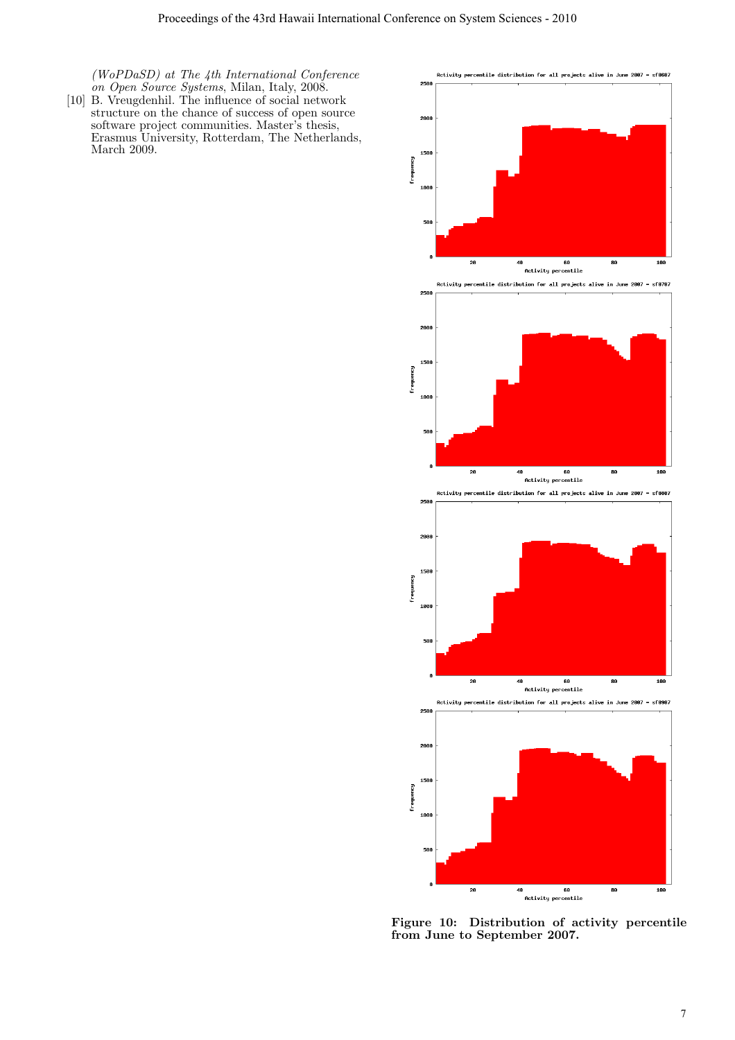*(WoPDaSD) at The 4th International Conference on Open Source Systems*, Milan, Italy, 2008.

[10] B. Vreugdenhil. The influence of social network structure on the chance of success of open source software project communities. Master's thesis, Erasmus University, Rotterdam, The Netherlands, March 2009.



**Figure 10: Distribution of activity percentile from June to September 2007.**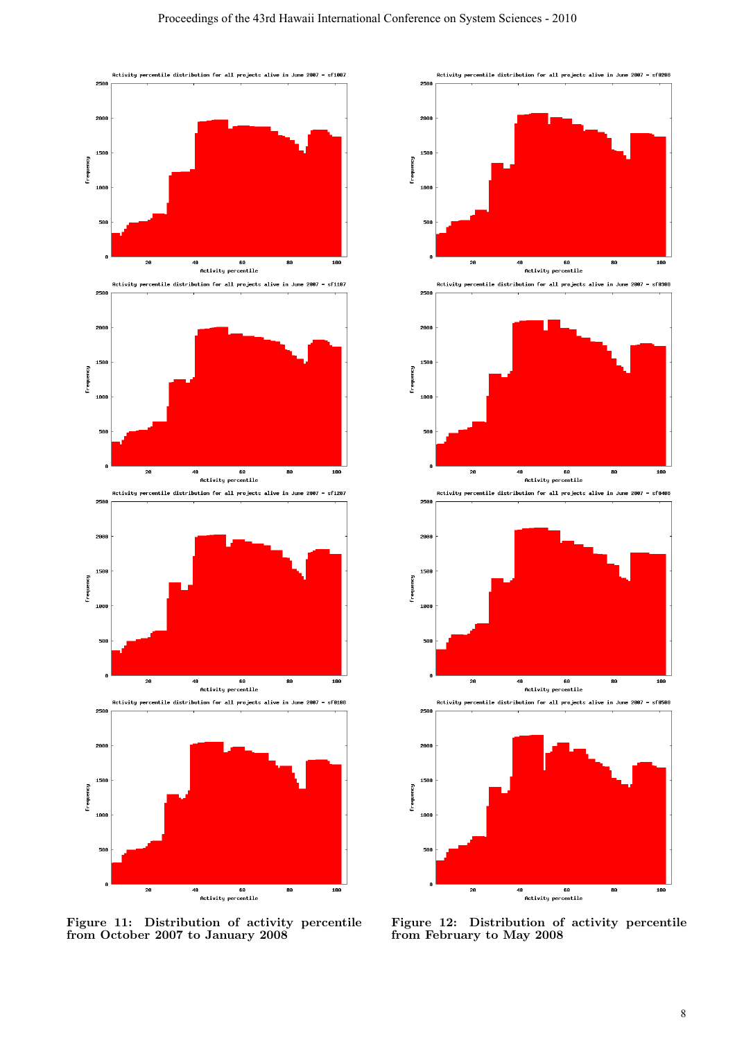

**Figure 11: Distribution of activity percentile from October 2007 to January 2008**



**Figure 12: Distribution of activity percentile from February to May 2008**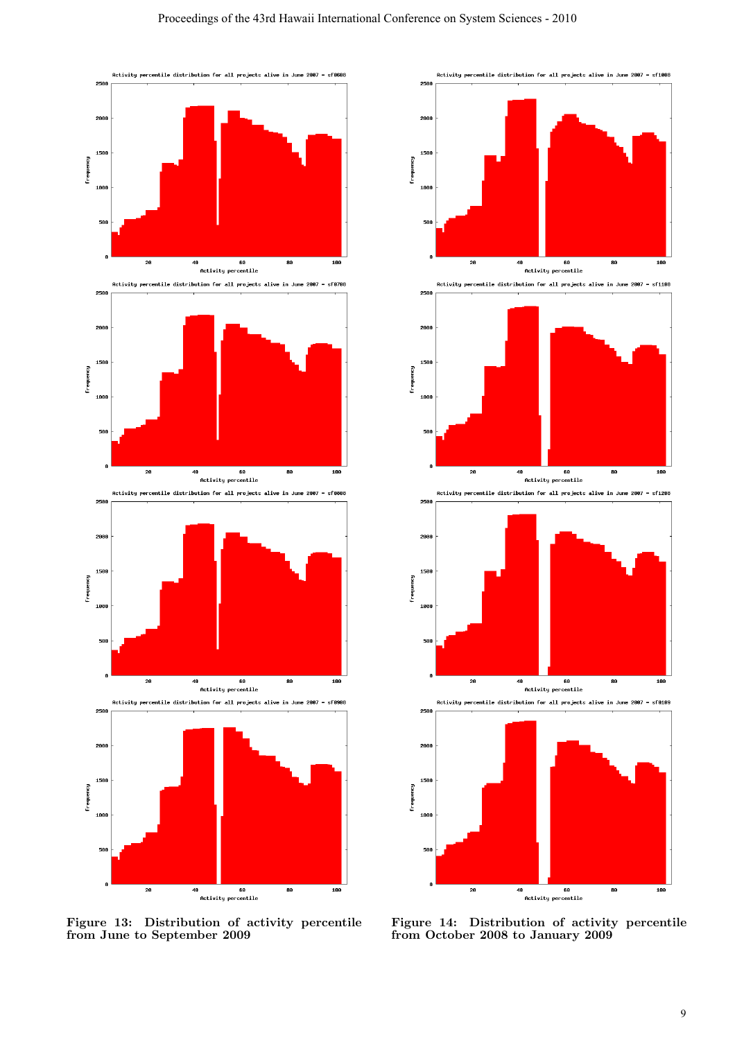

**Figure 13: Distribution of activity percentile from June to September 2009**



**Figure 14: Distribution of activity percentile from October 2008 to January 2009**